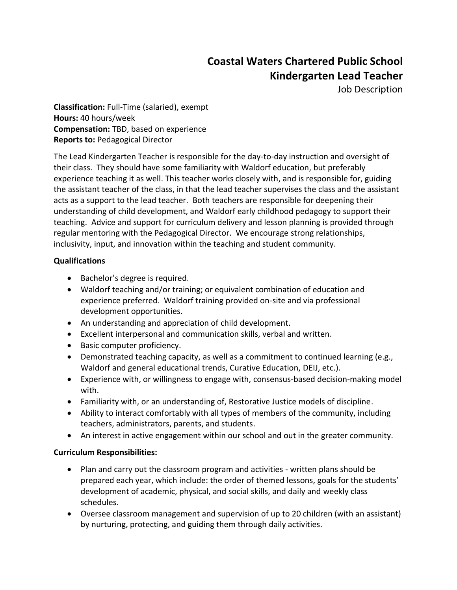# **Coastal Waters Chartered Public School Kindergarten Lead Teacher**

Job Description

**Classification:** Full-Time (salaried), exempt **Hours:** 40 hours/week **Compensation:** TBD, based on experience **Reports to:** Pedagogical Director

The Lead Kindergarten Teacher is responsible for the day-to-day instruction and oversight of their class. They should have some familiarity with Waldorf education, but preferably experience teaching it as well. This teacher works closely with, and is responsible for, guiding the assistant teacher of the class, in that the lead teacher supervises the class and the assistant acts as a support to the lead teacher. Both teachers are responsible for deepening their understanding of child development, and Waldorf early childhood pedagogy to support their teaching. Advice and support for curriculum delivery and lesson planning is provided through regular mentoring with the Pedagogical Director. We encourage strong relationships, inclusivity, input, and innovation within the teaching and student community.

## **Qualifications**

- Bachelor's degree is required.
- Waldorf teaching and/or training; or equivalent combination of education and experience preferred. Waldorf training provided on-site and via professional development opportunities.
- An understanding and appreciation of child development.
- Excellent interpersonal and communication skills, verbal and written.
- Basic computer proficiency.
- Demonstrated teaching capacity, as well as a commitment to continued learning (e.g., Waldorf and general educational trends, Curative Education, DEIJ, etc.).
- Experience with, or willingness to engage with, consensus-based decision-making model with.
- Familiarity with, or an understanding of, Restorative Justice models of discipline.
- Ability to interact comfortably with all types of members of the community, including teachers, administrators, parents, and students.
- An interest in active engagement within our school and out in the greater community.

### **Curriculum Responsibilities:**

- Plan and carry out the classroom program and activities written plans should be prepared each year, which include: the order of themed lessons, goals for the students' development of academic, physical, and social skills, and daily and weekly class schedules.
- Oversee classroom management and supervision of up to 20 children (with an assistant) by nurturing, protecting, and guiding them through daily activities.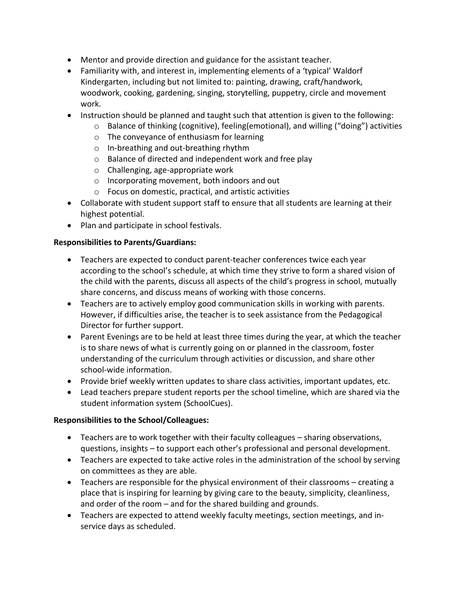- Mentor and provide direction and guidance for the assistant teacher.
- Familiarity with, and interest in, implementing elements of a 'typical' Waldorf Kindergarten, including but not limited to: painting, drawing, craft/handwork, woodwork, cooking, gardening, singing, storytelling, puppetry, circle and movement work.
- Instruction should be planned and taught such that attention is given to the following:
	- $\circ$  Balance of thinking (cognitive), feeling (emotional), and willing ("doing") activities
	- o The conveyance of enthusiasm for learning
	- o In-breathing and out-breathing rhythm
	- o Balance of directed and independent work and free play
	- o Challenging, age-appropriate work
	- o Incorporating movement, both indoors and out
	- o Focus on domestic, practical, and artistic activities
- Collaborate with student support staff to ensure that all students are learning at their highest potential.
- Plan and participate in school festivals.

### **Responsibilities to Parents/Guardians:**

- Teachers are expected to conduct parent-teacher conferences twice each year according to the school's schedule, at which time they strive to form a shared vision of the child with the parents, discuss all aspects of the child's progress in school, mutually share concerns, and discuss means of working with those concerns.
- Teachers are to actively employ good communication skills in working with parents. However, if difficulties arise, the teacher is to seek assistance from the Pedagogical Director for further support.
- Parent Evenings are to be held at least three times during the year, at which the teacher is to share news of what is currently going on or planned in the classroom, foster understanding of the curriculum through activities or discussion, and share other school-wide information.
- Provide brief weekly written updates to share class activities, important updates, etc.
- Lead teachers prepare student reports per the school timeline, which are shared via the student information system (SchoolCues).

### **Responsibilities to the School/Colleagues:**

- Teachers are to work together with their faculty colleagues sharing observations, questions, insights – to support each other's professional and personal development.
- Teachers are expected to take active roles in the administration of the school by serving on committees as they are able.
- Teachers are responsible for the physical environment of their classrooms creating a place that is inspiring for learning by giving care to the beauty, simplicity, cleanliness, and order of the room – and for the shared building and grounds.
- Teachers are expected to attend weekly faculty meetings, section meetings, and inservice days as scheduled.